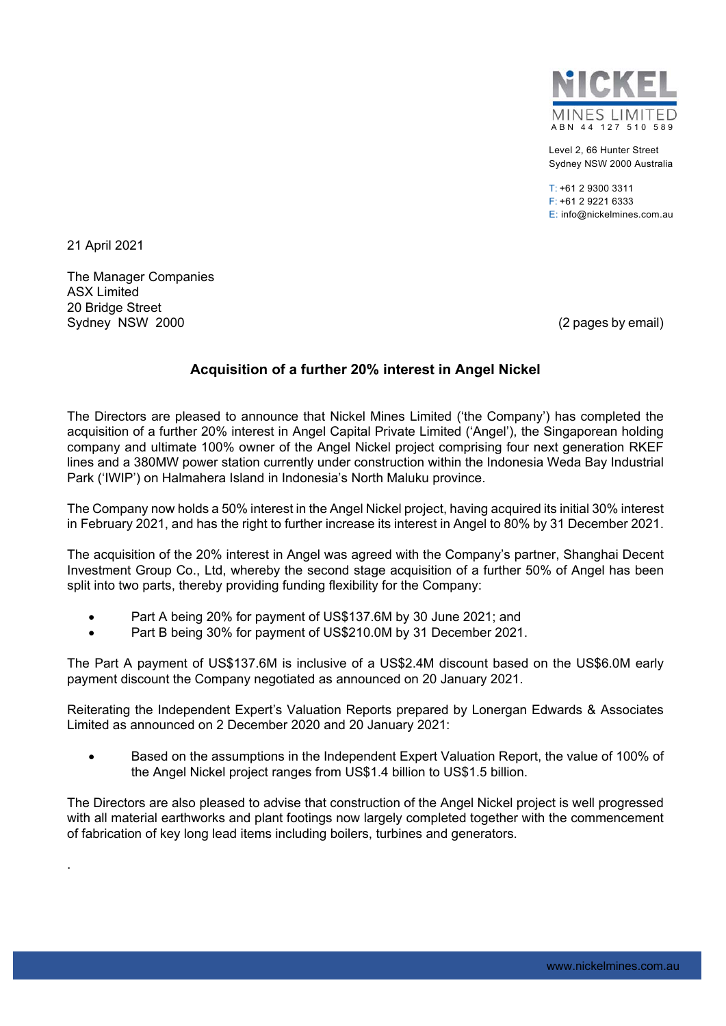

Level 2, 66 Hunter Street Sydney NSW 2000 Australia

 $T: +61293003311$ F: +61 2 9221 6333 E: info@nickelmines.com.au

21 April 2021

.

The Manager Companies ASX Limited 20 Bridge Street Sydney NSW 2000 (2 pages by email)

## **Acquisition of a further 20% interest in Angel Nickel**

The Directors are pleased to announce that Nickel Mines Limited ('the Company') has completed the acquisition of a further 20% interest in Angel Capital Private Limited ('Angel'), the Singaporean holding company and ultimate 100% owner of the Angel Nickel project comprising four next generation RKEF lines and a 380MW power station currently under construction within the Indonesia Weda Bay Industrial Park ('IWIP') on Halmahera Island in Indonesia's North Maluku province.

The Company now holds a 50% interest in the Angel Nickel project, having acquired its initial 30% interest in February 2021, and has the right to further increase its interest in Angel to 80% by 31 December 2021.

The acquisition of the 20% interest in Angel was agreed with the Company's partner, Shanghai Decent Investment Group Co., Ltd, whereby the second stage acquisition of a further 50% of Angel has been split into two parts, thereby providing funding flexibility for the Company:

- Part A being 20% for payment of US\$137.6M by 30 June 2021; and
- Part B being 30% for payment of US\$210.0M by 31 December 2021.

The Part A payment of US\$137.6M is inclusive of a US\$2.4M discount based on the US\$6.0M early payment discount the Company negotiated as announced on 20 January 2021.

Reiterating the Independent Expert's Valuation Reports prepared by Lonergan Edwards & Associates Limited as announced on 2 December 2020 and 20 January 2021:

 Based on the assumptions in the Independent Expert Valuation Report, the value of 100% of the Angel Nickel project ranges from US\$1.4 billion to US\$1.5 billion.

The Directors are also pleased to advise that construction of the Angel Nickel project is well progressed with all material earthworks and plant footings now largely completed together with the commencement of fabrication of key long lead items including boilers, turbines and generators.